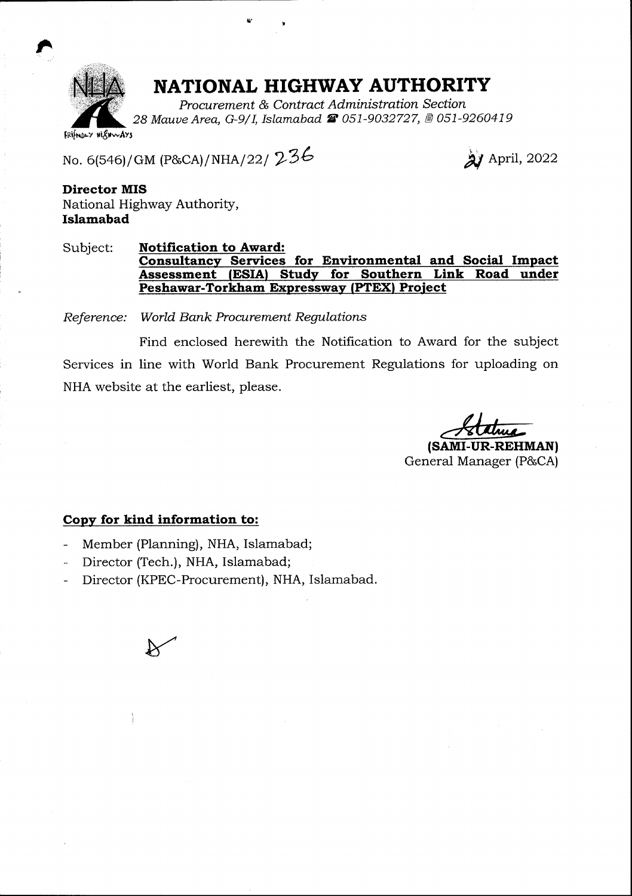

tr

## NATIONAL HIGHWAY AUTHORITY

Procarement & Contract Administration Section 28 Mauve Area, G-9/I, Islamabad & 051-9032727, @ 051-9260419

Irifno'v liSrwAYs

No. 6(546)/GM (P&CA)/NHA/22/ 236

2) April, 2022

Director MIS National Highway Authority, Islamabad

Subject: Notification to Award: Consultancy Services for Environmental and Social Impact Assessment (ESIA) Study for Southern Link Road under Peshawar-Torkham Expressway (PTEX) Project

Reference: World Bank Procurement Regulations

Find enclosed herewith the Notification to Award for the subject Services in line with World Bank Procurement Regulations for uploading on NHA website at the earliest, please.

{sAMr-uR-REHMAN}

General Manager (P&CA)

## Copy for kind information to:

- Member (Planning), NHA, Islamabad;
- Director (Tech.), NHA, Islamabad;
- Director (KPEC-Procurement), NHA, Islamabad.